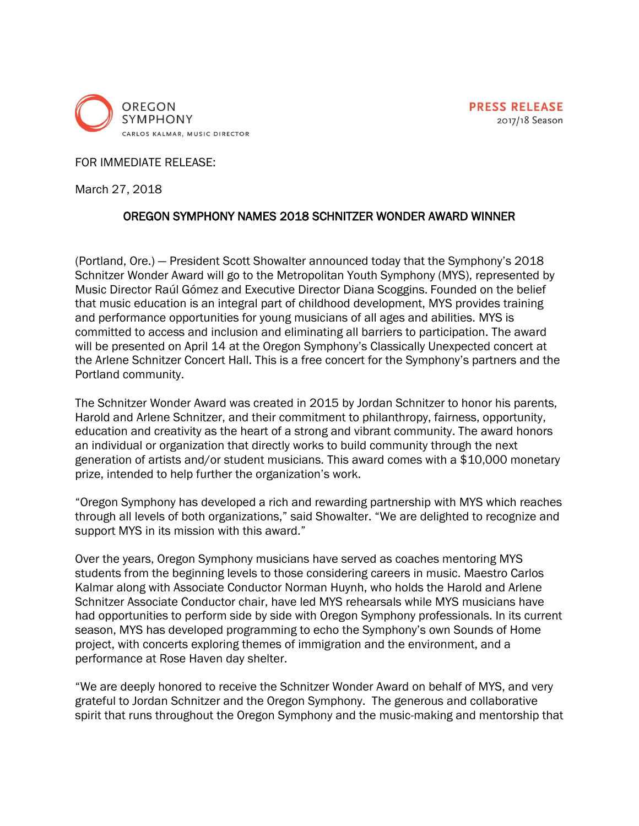

FOR IMMEDIATE RELEASE:

March 27, 2018

## OREGON SYMPHONY NAMES 2018 SCHNITZER WONDER AWARD WINNER

(Portland, Ore.) — President Scott Showalter announced today that the Symphony's 2018 Schnitzer Wonder Award will go to the Metropolitan Youth Symphony (MYS), represented by Music Director Raúl Gómez and Executive Director Diana Scoggins. Founded on the belief that music education is an integral part of childhood development, MYS provides training and performance opportunities for young musicians of all ages and abilities. MYS is committed to access and inclusion and eliminating all barriers to participation. The award will be presented on April 14 at the Oregon Symphony's Classically Unexpected concert at the Arlene Schnitzer Concert Hall. This is a free concert for the Symphony's partners and the Portland community.

The Schnitzer Wonder Award was created in 2015 by Jordan Schnitzer to honor his parents, Harold and Arlene Schnitzer, and their commitment to philanthropy, fairness, opportunity, education and creativity as the heart of a strong and vibrant community. The award honors an individual or organization that directly works to build community through the next generation of artists and/or student musicians. This award comes with a \$10,000 monetary prize, intended to help further the organization's work.

"Oregon Symphony has developed a rich and rewarding partnership with MYS which reaches through all levels of both organizations," said Showalter. "We are delighted to recognize and support MYS in its mission with this award."

Over the years, Oregon Symphony musicians have served as coaches mentoring MYS students from the beginning levels to those considering careers in music. Maestro Carlos Kalmar along with Associate Conductor Norman Huynh, who holds the Harold and Arlene Schnitzer Associate Conductor chair, have led MYS rehearsals while MYS musicians have had opportunities to perform side by side with Oregon Symphony professionals. In its current season, MYS has developed programming to echo the Symphony's own Sounds of Home project, with concerts exploring themes of immigration and the environment, and a performance at Rose Haven day shelter.

"We are deeply honored to receive the Schnitzer Wonder Award on behalf of MYS, and very grateful to Jordan Schnitzer and the Oregon Symphony. The generous and collaborative spirit that runs throughout the Oregon Symphony and the music-making and mentorship that